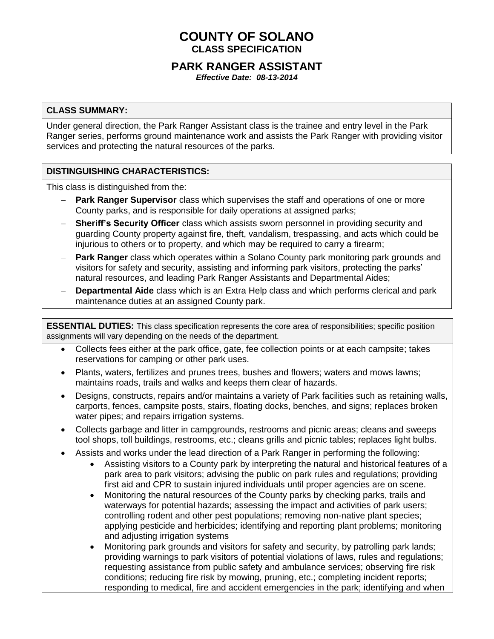# **COUNTY OF SOLANO CLASS SPECIFICATION**

## **PARK RANGER ASSISTANT**

*Effective Date: 08-13-2014*

#### **CLASS SUMMARY:**

Under general direction, the Park Ranger Assistant class is the trainee and entry level in the Park Ranger series, performs ground maintenance work and assists the Park Ranger with providing visitor services and protecting the natural resources of the parks.

#### **DISTINGUISHING CHARACTERISTICS:**

This class is distinguished from the:

- **Park Ranger Supervisor** class which supervises the staff and operations of one or more County parks, and is responsible for daily operations at assigned parks;
- **Sheriff's Security Officer** class which assists sworn personnel in providing security and guarding County property against fire, theft, vandalism, trespassing, and acts which could be injurious to others or to property, and which may be required to carry a firearm;
- **Park Ranger** class which operates within a Solano County park monitoring park grounds and visitors for safety and security, assisting and informing park visitors, protecting the parks' natural resources, and leading Park Ranger Assistants and Departmental Aides;
- **Departmental Aide** class which is an Extra Help class and which performs clerical and park maintenance duties at an assigned County park.

**ESSENTIAL DUTIES:** This class specification represents the core area of responsibilities; specific position assignments will vary depending on the needs of the department.

- Collects fees either at the park office, gate, fee collection points or at each campsite; takes reservations for camping or other park uses.
- Plants, waters, fertilizes and prunes trees, bushes and flowers; waters and mows lawns; maintains roads, trails and walks and keeps them clear of hazards.
- Designs, constructs, repairs and/or maintains a variety of Park facilities such as retaining walls, carports, fences, campsite posts, stairs, floating docks, benches, and signs; replaces broken water pipes; and repairs irrigation systems.
- Collects garbage and litter in campgrounds, restrooms and picnic areas; cleans and sweeps tool shops, toll buildings, restrooms, etc.; cleans grills and picnic tables; replaces light bulbs.
- Assists and works under the lead direction of a Park Ranger in performing the following:
	- Assisting visitors to a County park by interpreting the natural and historical features of a park area to park visitors; advising the public on park rules and regulations; providing first aid and CPR to sustain injured individuals until proper agencies are on scene.
	- Monitoring the natural resources of the County parks by checking parks, trails and waterways for potential hazards; assessing the impact and activities of park users; controlling rodent and other pest populations; removing non-native plant species; applying pesticide and herbicides; identifying and reporting plant problems; monitoring and adjusting irrigation systems
	- Monitoring park grounds and visitors for safety and security, by patrolling park lands; providing warnings to park visitors of potential violations of laws, rules and regulations; requesting assistance from public safety and ambulance services; observing fire risk conditions; reducing fire risk by mowing, pruning, etc.; completing incident reports; responding to medical, fire and accident emergencies in the park; identifying and when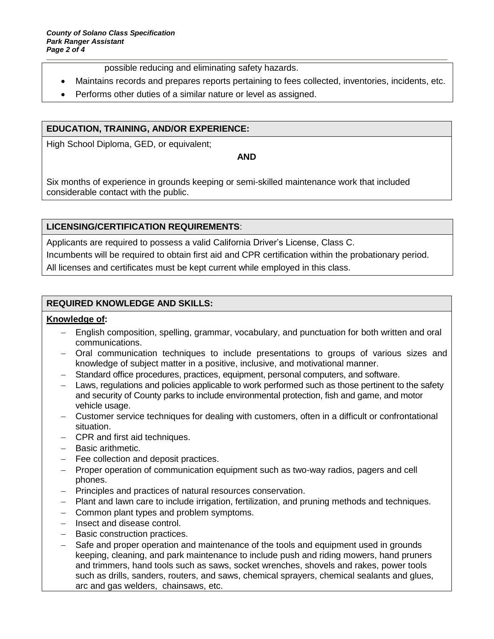possible reducing and eliminating safety hazards.

- Maintains records and prepares reports pertaining to fees collected, inventories, incidents, etc.
- Performs other duties of a similar nature or level as assigned.

### **EDUCATION, TRAINING, AND/OR EXPERIENCE:**

High School Diploma, GED, or equivalent;

**AND**

Six months of experience in grounds keeping or semi-skilled maintenance work that included considerable contact with the public.

### **LICENSING/CERTIFICATION REQUIREMENTS**:

Applicants are required to possess a valid California Driver's License, Class C. Incumbents will be required to obtain first aid and CPR certification within the probationary period. All licenses and certificates must be kept current while employed in this class.

### **REQUIRED KNOWLEDGE AND SKILLS:**

#### **Knowledge of:**

- English composition, spelling, grammar, vocabulary, and punctuation for both written and oral communications.
- Oral communication techniques to include presentations to groups of various sizes and knowledge of subject matter in a positive, inclusive, and motivational manner.
- Standard office procedures, practices, equipment, personal computers, and software.
- Laws, regulations and policies applicable to work performed such as those pertinent to the safety and security of County parks to include environmental protection, fish and game, and motor vehicle usage.
- Customer service techniques for dealing with customers, often in a difficult or confrontational situation.
- CPR and first aid techniques.
- Basic arithmetic.
- Fee collection and deposit practices.
- Proper operation of communication equipment such as two-way radios, pagers and cell phones.
- Principles and practices of natural resources conservation.
- Plant and lawn care to include irrigation, fertilization, and pruning methods and techniques.
- Common plant types and problem symptoms.
- Insect and disease control.
- Basic construction practices.
- Safe and proper operation and maintenance of the tools and equipment used in grounds keeping, cleaning, and park maintenance to include push and riding mowers, hand pruners and trimmers, hand tools such as saws, socket wrenches, shovels and rakes, power tools such as drills, sanders, routers, and saws, chemical sprayers, chemical sealants and glues, arc and gas welders, chainsaws, etc.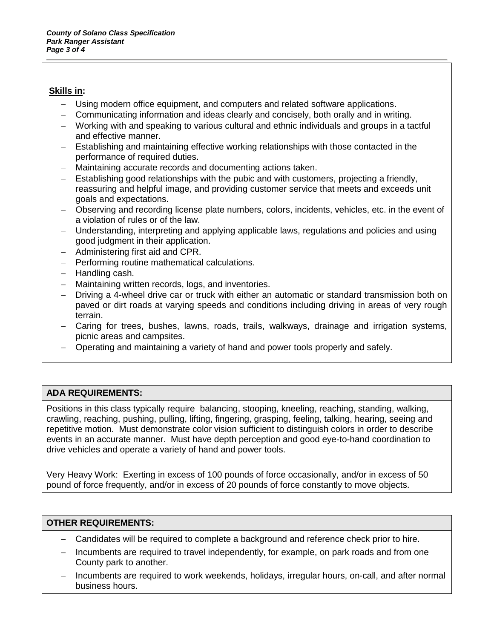#### **Skills in:**

- Using modern office equipment, and computers and related software applications.
- Communicating information and ideas clearly and concisely, both orally and in writing.
- Working with and speaking to various cultural and ethnic individuals and groups in a tactful and effective manner.
- Establishing and maintaining effective working relationships with those contacted in the performance of required duties.
- Maintaining accurate records and documenting actions taken.
- Establishing good relationships with the pubic and with customers, projecting a friendly, reassuring and helpful image, and providing customer service that meets and exceeds unit goals and expectations.
- Observing and recording license plate numbers, colors, incidents, vehicles, etc. in the event of a violation of rules or of the law.
- Understanding, interpreting and applying applicable laws, regulations and policies and using good judgment in their application.
- Administering first aid and CPR.
- $-$  Performing routine mathematical calculations.
- $-$  Handling cash.
- Maintaining written records, logs, and inventories.
- Driving a 4-wheel drive car or truck with either an automatic or standard transmission both on paved or dirt roads at varying speeds and conditions including driving in areas of very rough terrain.
- Caring for trees, bushes, lawns, roads, trails, walkways, drainage and irrigation systems, picnic areas and campsites.
- Operating and maintaining a variety of hand and power tools properly and safely.

### **ADA REQUIREMENTS:**

Positions in this class typically require balancing, stooping, kneeling, reaching, standing, walking, crawling, reaching, pushing, pulling, lifting, fingering, grasping, feeling, talking, hearing, seeing and repetitive motion. Must demonstrate color vision sufficient to distinguish colors in order to describe events in an accurate manner. Must have depth perception and good eye-to-hand coordination to drive vehicles and operate a variety of hand and power tools.

Very Heavy Work: Exerting in excess of 100 pounds of force occasionally, and/or in excess of 50 pound of force frequently, and/or in excess of 20 pounds of force constantly to move objects.

#### **OTHER REQUIREMENTS:**

- Candidates will be required to complete a background and reference check prior to hire.
- Incumbents are required to travel independently, for example, on park roads and from one County park to another.
- Incumbents are required to work weekends, holidays, irregular hours, on-call, and after normal business hours.